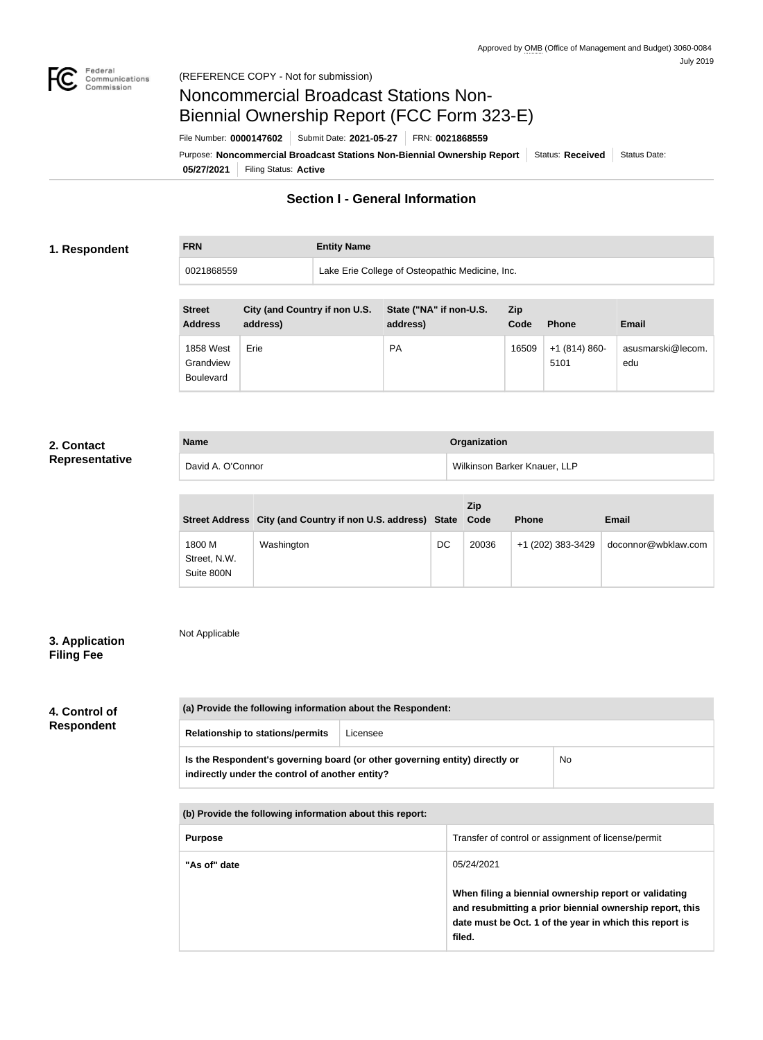

**FRN Entity Name**

# Noncommercial Broadcast Stations Non-Biennial Ownership Report (FCC Form 323-E)

File Number: **0000147602** Submit Date: **2021-05-27** FRN: **0021868559**

**05/27/2021** Filing Status: **Active** Purpose: Noncommercial Broadcast Stations Non-Biennial Ownership Report Status: Received Status Date:

# **Section I - General Information**

# **1. Respondent**

0021868559 Lake Erie College of Osteopathic Medicine, Inc.

| <b>Street</b><br><b>Address</b>                   | City (and Country if non U.S.<br>address) | State ("NA" if non-U.S.<br>address) | <b>Zip</b><br>Code | <b>Phone</b>          | Email                    |
|---------------------------------------------------|-------------------------------------------|-------------------------------------|--------------------|-----------------------|--------------------------|
| <b>1858 West</b><br>Grandview<br><b>Boulevard</b> | Erie                                      | <b>PA</b>                           | 16509              | $+1(814)860-$<br>5101 | asusmarski@lecom.<br>edu |

# **2. Contact Representative**

| <b>Name</b>       | <b>Organization</b>          |
|-------------------|------------------------------|
| David A. O'Connor | Wilkinson Barker Knauer, LLP |

|                                      | Street Address City (and Country if non U.S. address) State Code |    | <b>Zip</b> | <b>Phone</b>      | Email               |
|--------------------------------------|------------------------------------------------------------------|----|------------|-------------------|---------------------|
| 1800 M<br>Street, N.W.<br>Suite 800N | Washington                                                       | DC | 20036      | +1 (202) 383-3429 | doconnor@wbklaw.com |

# **3. Application Filing Fee**

Not Applicable

# **4. Control of Respondent**

| (a) Provide the following information about the Respondent:                                                                    |          |    |
|--------------------------------------------------------------------------------------------------------------------------------|----------|----|
| <b>Relationship to stations/permits</b>                                                                                        | Licensee |    |
| Is the Respondent's governing board (or other governing entity) directly or<br>indirectly under the control of another entity? |          | No |

**(b) Provide the following information about this report:**

| <b>Purpose</b> | Transfer of control or assignment of license/permit                                                                                                                                    |
|----------------|----------------------------------------------------------------------------------------------------------------------------------------------------------------------------------------|
| "As of" date   | 05/24/2021                                                                                                                                                                             |
|                | When filing a biennial ownership report or validating<br>and resubmitting a prior biennial ownership report, this<br>date must be Oct. 1 of the year in which this report is<br>filed. |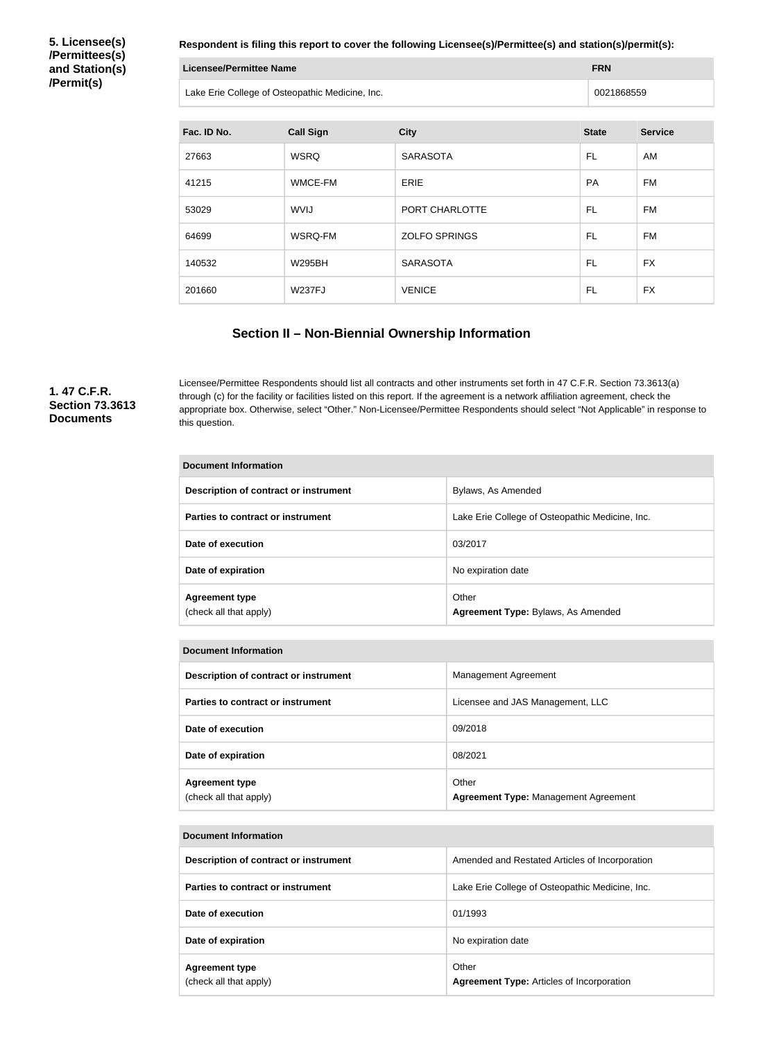**5. Licensee(s) /Permittees(s) and Station(s) /Permit(s)**

**Respondent is filing this report to cover the following Licensee(s)/Permittee(s) and station(s)/permit(s):**

| Licensee/Permittee Name                         | <b>FRN</b> |  |
|-------------------------------------------------|------------|--|
| Lake Erie College of Osteopathic Medicine, Inc. | 0021868559 |  |

| Fac. ID No. | <b>Call Sign</b> | <b>City</b>          | <b>State</b> | <b>Service</b> |
|-------------|------------------|----------------------|--------------|----------------|
| 27663       | <b>WSRQ</b>      | <b>SARASOTA</b>      | FL.          | AM             |
| 41215       | WMCE-FM          | <b>ERIE</b>          | <b>PA</b>    | <b>FM</b>      |
| 53029       | <b>WVIJ</b>      | PORT CHARLOTTE       | FL           | <b>FM</b>      |
| 64699       | WSRQ-FM          | <b>ZOLFO SPRINGS</b> | FL.          | <b>FM</b>      |
| 140532      | <b>W295BH</b>    | <b>SARASOTA</b>      | FL           | <b>FX</b>      |
| 201660      | <b>W237FJ</b>    | <b>VENICE</b>        | FL           | <b>FX</b>      |

# **Section II – Non-Biennial Ownership Information**

**1. 47 C.F.R. Section 73.3613 Documents**

Licensee/Permittee Respondents should list all contracts and other instruments set forth in 47 C.F.R. Section 73.3613(a) through (c) for the facility or facilities listed on this report. If the agreement is a network affiliation agreement, check the appropriate box. Otherwise, select "Other." Non-Licensee/Permittee Respondents should select "Not Applicable" in response to this question.

| Document Information                            |                                                 |  |
|-------------------------------------------------|-------------------------------------------------|--|
| Description of contract or instrument           | Bylaws, As Amended                              |  |
| Parties to contract or instrument               | Lake Erie College of Osteopathic Medicine, Inc. |  |
| Date of execution                               | 03/2017                                         |  |
| Date of expiration                              | No expiration date                              |  |
| <b>Agreement type</b><br>(check all that apply) | Other<br>Agreement Type: Bylaws, As Amended     |  |

| <b>Document Information</b>                     |                                                      |  |
|-------------------------------------------------|------------------------------------------------------|--|
| Description of contract or instrument           | Management Agreement                                 |  |
| Parties to contract or instrument               | Licensee and JAS Management, LLC                     |  |
| Date of execution                               | 09/2018                                              |  |
| Date of expiration                              | 08/2021                                              |  |
| <b>Agreement type</b><br>(check all that apply) | Other<br><b>Agreement Type: Management Agreement</b> |  |

| <b>Document Information</b>                     |                                                           |  |
|-------------------------------------------------|-----------------------------------------------------------|--|
| Description of contract or instrument           | Amended and Restated Articles of Incorporation            |  |
| Parties to contract or instrument               | Lake Erie College of Osteopathic Medicine, Inc.           |  |
| Date of execution                               | 01/1993                                                   |  |
| Date of expiration                              | No expiration date                                        |  |
| <b>Agreement type</b><br>(check all that apply) | Other<br><b>Agreement Type: Articles of Incorporation</b> |  |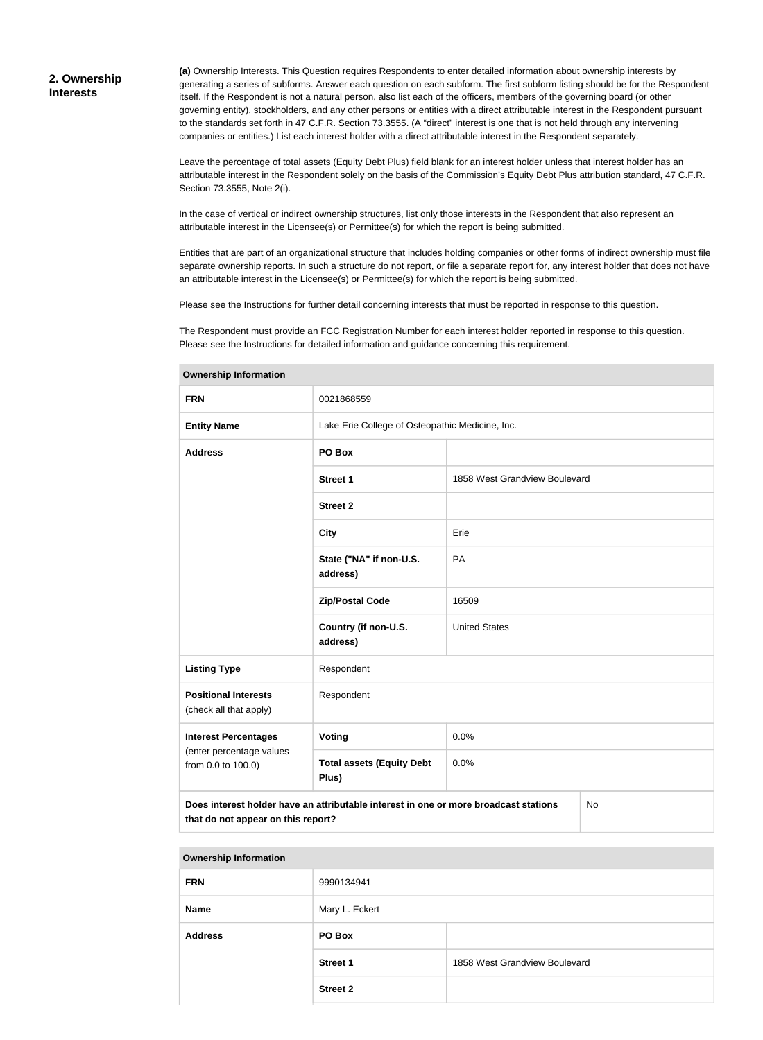# **2. Ownership Interests**

**(a)** Ownership Interests. This Question requires Respondents to enter detailed information about ownership interests by generating a series of subforms. Answer each question on each subform. The first subform listing should be for the Respondent itself. If the Respondent is not a natural person, also list each of the officers, members of the governing board (or other governing entity), stockholders, and any other persons or entities with a direct attributable interest in the Respondent pursuant to the standards set forth in 47 C.F.R. Section 73.3555. (A "direct" interest is one that is not held through any intervening companies or entities.) List each interest holder with a direct attributable interest in the Respondent separately.

Leave the percentage of total assets (Equity Debt Plus) field blank for an interest holder unless that interest holder has an attributable interest in the Respondent solely on the basis of the Commission's Equity Debt Plus attribution standard, 47 C.F.R. Section 73.3555, Note 2(i).

In the case of vertical or indirect ownership structures, list only those interests in the Respondent that also represent an attributable interest in the Licensee(s) or Permittee(s) for which the report is being submitted.

Entities that are part of an organizational structure that includes holding companies or other forms of indirect ownership must file separate ownership reports. In such a structure do not report, or file a separate report for, any interest holder that does not have an attributable interest in the Licensee(s) or Permittee(s) for which the report is being submitted.

Please see the Instructions for further detail concerning interests that must be reported in response to this question.

The Respondent must provide an FCC Registration Number for each interest holder reported in response to this question. Please see the Instructions for detailed information and guidance concerning this requirement.

| <b>FRN</b>                                                                                                                       | 0021868559                                      |                               |  |  |
|----------------------------------------------------------------------------------------------------------------------------------|-------------------------------------------------|-------------------------------|--|--|
| <b>Entity Name</b>                                                                                                               | Lake Erie College of Osteopathic Medicine, Inc. |                               |  |  |
| <b>Address</b>                                                                                                                   | PO Box                                          |                               |  |  |
|                                                                                                                                  | <b>Street 1</b>                                 | 1858 West Grandview Boulevard |  |  |
|                                                                                                                                  | <b>Street 2</b>                                 |                               |  |  |
|                                                                                                                                  | <b>City</b>                                     | Erie                          |  |  |
|                                                                                                                                  | State ("NA" if non-U.S.<br>address)             | PA                            |  |  |
|                                                                                                                                  | <b>Zip/Postal Code</b>                          | 16509                         |  |  |
|                                                                                                                                  | Country (if non-U.S.<br>address)                | <b>United States</b>          |  |  |
| <b>Listing Type</b>                                                                                                              | Respondent                                      |                               |  |  |
| <b>Positional Interests</b><br>(check all that apply)                                                                            | Respondent                                      |                               |  |  |
| <b>Interest Percentages</b>                                                                                                      | Voting                                          | 0.0%                          |  |  |
| (enter percentage values<br>from 0.0 to 100.0)                                                                                   | <b>Total assets (Equity Debt</b><br>Plus)       | 0.0%                          |  |  |
| Does interest holder have an attributable interest in one or more broadcast stations<br>No<br>that do not appear on this report? |                                                 |                               |  |  |

### **Ownership Information**

| <b>FRN</b>     | 9990134941      |                               |  |
|----------------|-----------------|-------------------------------|--|
| <b>Name</b>    | Mary L. Eckert  |                               |  |
| <b>Address</b> | PO Box          |                               |  |
|                | <b>Street 1</b> | 1858 West Grandview Boulevard |  |
|                | <b>Street 2</b> |                               |  |
|                |                 |                               |  |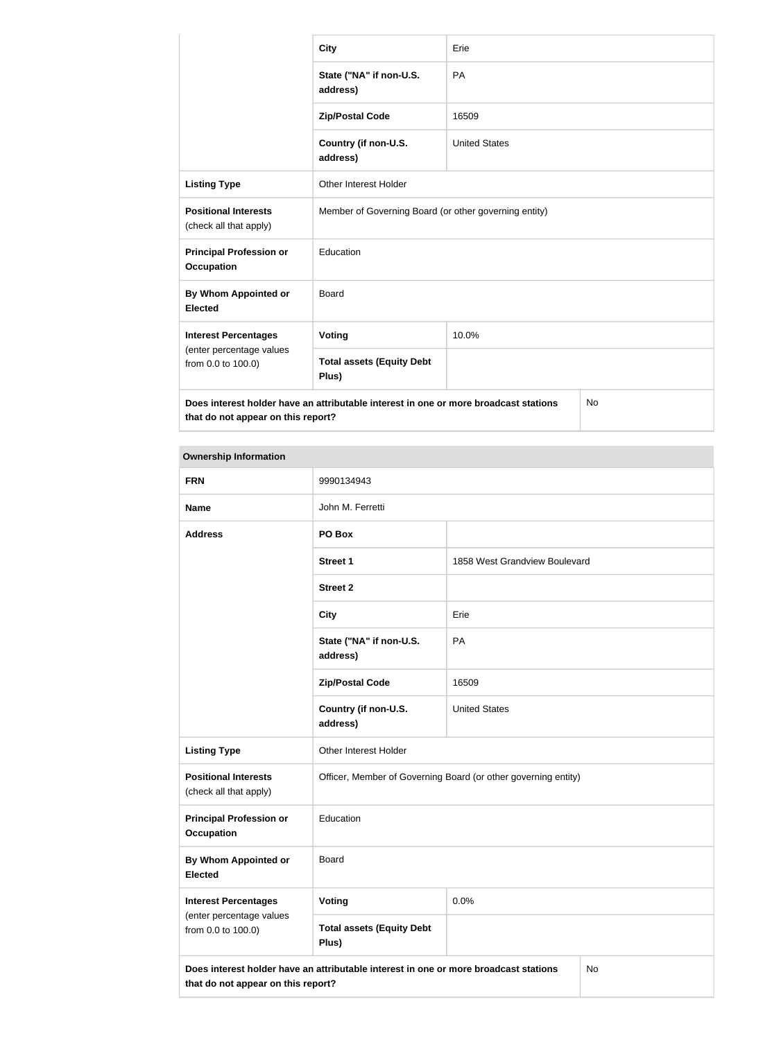|                                                                                                                                  | <b>City</b>                                           | Erie                 |  |
|----------------------------------------------------------------------------------------------------------------------------------|-------------------------------------------------------|----------------------|--|
|                                                                                                                                  | State ("NA" if non-U.S.<br>address)                   | <b>PA</b>            |  |
|                                                                                                                                  | <b>Zip/Postal Code</b>                                | 16509                |  |
|                                                                                                                                  | Country (if non-U.S.<br>address)                      | <b>United States</b> |  |
| <b>Listing Type</b>                                                                                                              | <b>Other Interest Holder</b>                          |                      |  |
| <b>Positional Interests</b><br>(check all that apply)                                                                            | Member of Governing Board (or other governing entity) |                      |  |
| <b>Principal Profession or</b><br><b>Occupation</b>                                                                              | Education                                             |                      |  |
| By Whom Appointed or<br><b>Elected</b>                                                                                           | Board                                                 |                      |  |
| <b>Interest Percentages</b>                                                                                                      | Voting                                                | 10.0%                |  |
| (enter percentage values<br>from 0.0 to 100.0)                                                                                   | <b>Total assets (Equity Debt</b><br>Plus)             |                      |  |
| Does interest holder have an attributable interest in one or more broadcast stations<br>No<br>that do not appear on this report? |                                                       |                      |  |

| <b>FRN</b>                                                                                                                       | 9990134943                                                     |                               |  |
|----------------------------------------------------------------------------------------------------------------------------------|----------------------------------------------------------------|-------------------------------|--|
| <b>Name</b>                                                                                                                      | John M. Ferretti                                               |                               |  |
| <b>Address</b>                                                                                                                   | PO Box                                                         |                               |  |
|                                                                                                                                  | <b>Street 1</b>                                                | 1858 West Grandview Boulevard |  |
|                                                                                                                                  | <b>Street 2</b>                                                |                               |  |
|                                                                                                                                  | <b>City</b>                                                    | Erie                          |  |
|                                                                                                                                  | State ("NA" if non-U.S.<br>address)                            | PA                            |  |
|                                                                                                                                  | <b>Zip/Postal Code</b>                                         | 16509                         |  |
|                                                                                                                                  | Country (if non-U.S.<br>address)                               | <b>United States</b>          |  |
| <b>Listing Type</b>                                                                                                              | Other Interest Holder                                          |                               |  |
| <b>Positional Interests</b><br>(check all that apply)                                                                            | Officer, Member of Governing Board (or other governing entity) |                               |  |
| <b>Principal Profession or</b><br><b>Occupation</b>                                                                              | Education                                                      |                               |  |
| <b>By Whom Appointed or</b><br><b>Elected</b>                                                                                    | <b>Board</b>                                                   |                               |  |
| <b>Interest Percentages</b>                                                                                                      | Voting                                                         | 0.0%                          |  |
| (enter percentage values<br>from 0.0 to 100.0)                                                                                   | <b>Total assets (Equity Debt</b><br>Plus)                      |                               |  |
| Does interest holder have an attributable interest in one or more broadcast stations<br>No<br>that do not appear on this report? |                                                                |                               |  |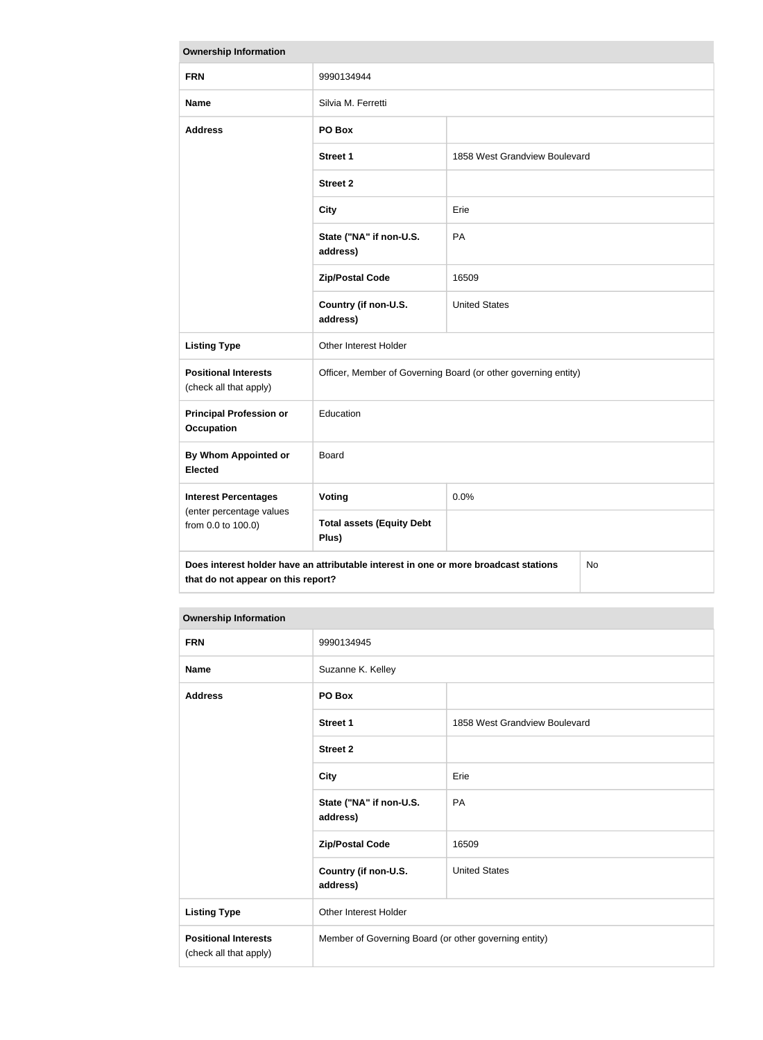| <b>Ownership Information</b>                                                                                                     |                                                                |                               |  |
|----------------------------------------------------------------------------------------------------------------------------------|----------------------------------------------------------------|-------------------------------|--|
| <b>FRN</b>                                                                                                                       | 9990134944                                                     |                               |  |
| <b>Name</b>                                                                                                                      | Silvia M. Ferretti                                             |                               |  |
| <b>Address</b>                                                                                                                   | PO Box                                                         |                               |  |
|                                                                                                                                  | <b>Street 1</b>                                                | 1858 West Grandview Boulevard |  |
|                                                                                                                                  | <b>Street 2</b>                                                |                               |  |
|                                                                                                                                  | <b>City</b>                                                    | Erie                          |  |
|                                                                                                                                  | State ("NA" if non-U.S.<br>address)                            | PA                            |  |
|                                                                                                                                  | <b>Zip/Postal Code</b>                                         | 16509                         |  |
|                                                                                                                                  | Country (if non-U.S.<br>address)                               | <b>United States</b>          |  |
| <b>Listing Type</b>                                                                                                              | Other Interest Holder                                          |                               |  |
| <b>Positional Interests</b><br>(check all that apply)                                                                            | Officer, Member of Governing Board (or other governing entity) |                               |  |
| <b>Principal Profession or</b><br><b>Occupation</b>                                                                              | Education                                                      |                               |  |
| <b>By Whom Appointed or</b><br><b>Elected</b>                                                                                    | Board                                                          |                               |  |
| <b>Interest Percentages</b>                                                                                                      | Voting                                                         | 0.0%                          |  |
| (enter percentage values<br>from 0.0 to 100.0)                                                                                   | <b>Total assets (Equity Debt</b><br>Plus)                      |                               |  |
| Does interest holder have an attributable interest in one or more broadcast stations<br>No<br>that do not appear on this report? |                                                                |                               |  |

| <b>FRN</b>                                            | 9990134945                                            |                               |
|-------------------------------------------------------|-------------------------------------------------------|-------------------------------|
| <b>Name</b>                                           | Suzanne K. Kelley                                     |                               |
| <b>Address</b>                                        | PO Box                                                |                               |
|                                                       | <b>Street 1</b>                                       | 1858 West Grandview Boulevard |
|                                                       | <b>Street 2</b>                                       |                               |
|                                                       | <b>City</b>                                           | Erie                          |
|                                                       | State ("NA" if non-U.S.<br>address)                   | <b>PA</b>                     |
|                                                       | <b>Zip/Postal Code</b>                                | 16509                         |
|                                                       | Country (if non-U.S.<br>address)                      | <b>United States</b>          |
| <b>Listing Type</b>                                   | Other Interest Holder                                 |                               |
| <b>Positional Interests</b><br>(check all that apply) | Member of Governing Board (or other governing entity) |                               |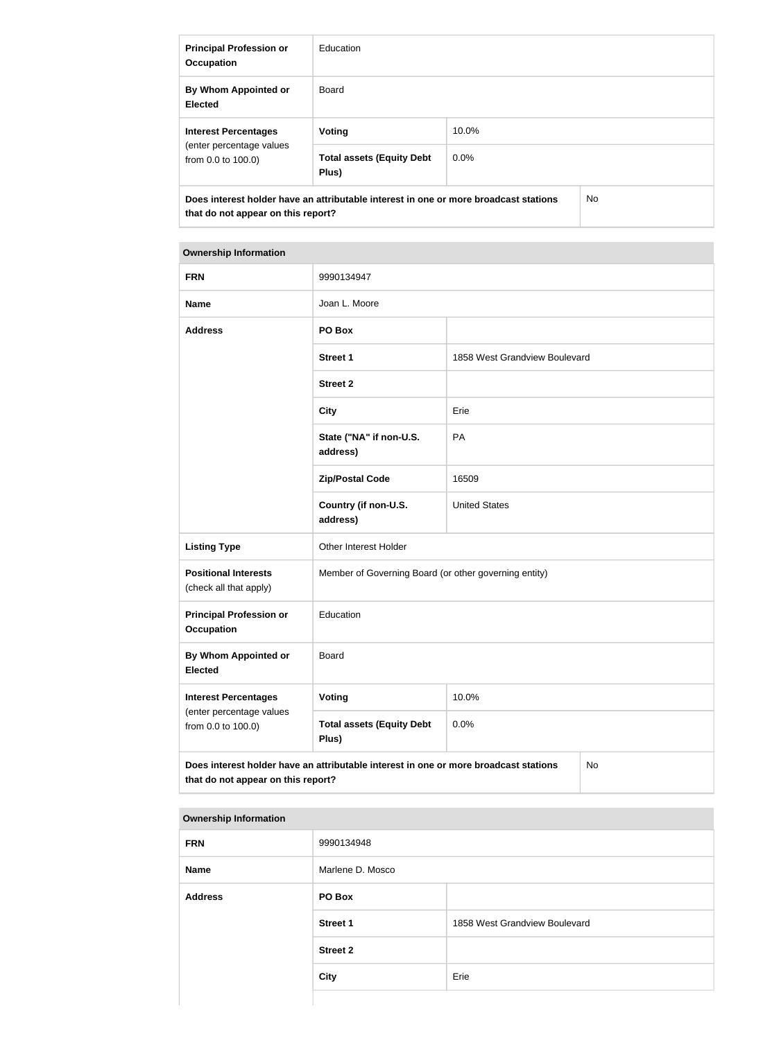| <b>Principal Profession or</b><br><b>Occupation</b>                                                                               | <b>Education</b>                          |         |  |
|-----------------------------------------------------------------------------------------------------------------------------------|-------------------------------------------|---------|--|
| By Whom Appointed or<br><b>Elected</b>                                                                                            | Board                                     |         |  |
| <b>Interest Percentages</b><br>(enter percentage values<br>from 0.0 to 100.0)                                                     | Voting                                    | 10.0%   |  |
|                                                                                                                                   | <b>Total assets (Equity Debt</b><br>Plus) | $0.0\%$ |  |
| Does interest holder have an attributable interest in one or more broadcast stations<br>No.<br>that do not appear on this report? |                                           |         |  |

| <b>FRN</b>                                                                                                                       | 9990134947                                            |                               |  |
|----------------------------------------------------------------------------------------------------------------------------------|-------------------------------------------------------|-------------------------------|--|
| <b>Name</b>                                                                                                                      | Joan L. Moore                                         |                               |  |
| <b>Address</b>                                                                                                                   | PO Box                                                |                               |  |
|                                                                                                                                  | <b>Street 1</b>                                       | 1858 West Grandview Boulevard |  |
|                                                                                                                                  | <b>Street 2</b>                                       |                               |  |
|                                                                                                                                  | <b>City</b>                                           | Erie                          |  |
|                                                                                                                                  | State ("NA" if non-U.S.<br>address)                   | PA                            |  |
|                                                                                                                                  | <b>Zip/Postal Code</b>                                | 16509                         |  |
|                                                                                                                                  | Country (if non-U.S.<br>address)                      | <b>United States</b>          |  |
| <b>Listing Type</b>                                                                                                              | Other Interest Holder                                 |                               |  |
| <b>Positional Interests</b><br>(check all that apply)                                                                            | Member of Governing Board (or other governing entity) |                               |  |
| <b>Principal Profession or</b><br><b>Occupation</b>                                                                              | Education                                             |                               |  |
| <b>By Whom Appointed or</b><br><b>Elected</b>                                                                                    | <b>Board</b>                                          |                               |  |
| <b>Interest Percentages</b>                                                                                                      | <b>Voting</b>                                         | 10.0%                         |  |
| (enter percentage values<br>from 0.0 to 100.0)                                                                                   | <b>Total assets (Equity Debt</b><br>Plus)             | 0.0%                          |  |
| Does interest holder have an attributable interest in one or more broadcast stations<br>No<br>that do not appear on this report? |                                                       |                               |  |

| <b>FRN</b>     | 9990134948       |                               |
|----------------|------------------|-------------------------------|
| <b>Name</b>    | Marlene D. Mosco |                               |
| <b>Address</b> | PO Box           |                               |
|                | <b>Street 1</b>  | 1858 West Grandview Boulevard |
|                | <b>Street 2</b>  |                               |
|                | <b>City</b>      | Erie                          |
|                |                  |                               |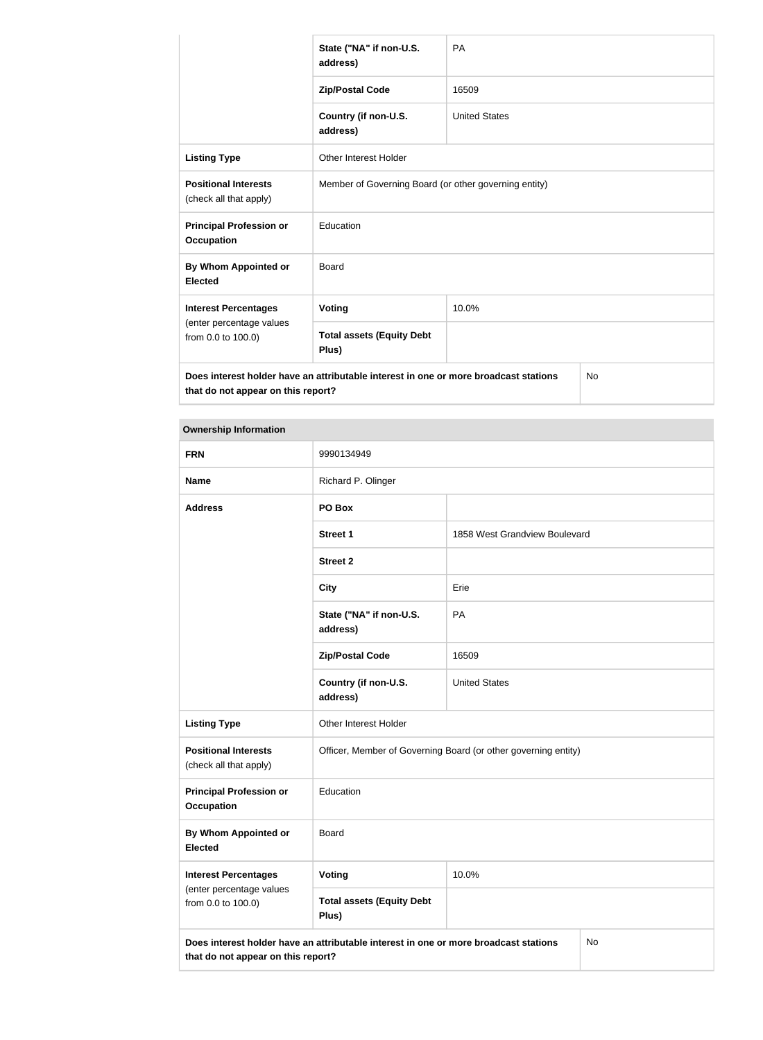|                                                       | State ("NA" if non-U.S.<br>address)                                                                                                     | PA                   |  |
|-------------------------------------------------------|-----------------------------------------------------------------------------------------------------------------------------------------|----------------------|--|
|                                                       | <b>Zip/Postal Code</b>                                                                                                                  | 16509                |  |
|                                                       | Country (if non-U.S.<br>address)                                                                                                        | <b>United States</b> |  |
| <b>Listing Type</b>                                   | <b>Other Interest Holder</b>                                                                                                            |                      |  |
| <b>Positional Interests</b><br>(check all that apply) | Member of Governing Board (or other governing entity)                                                                                   |                      |  |
| <b>Principal Profession or</b><br><b>Occupation</b>   | Education                                                                                                                               |                      |  |
| By Whom Appointed or<br><b>Elected</b>                | <b>Board</b>                                                                                                                            |                      |  |
| <b>Interest Percentages</b>                           | 10.0%<br>Voting                                                                                                                         |                      |  |
| (enter percentage values<br>from 0.0 to 100.0)        | <b>Total assets (Equity Debt</b><br>Plus)                                                                                               |                      |  |
|                                                       | Does interest holder have an attributable interest in one or more broadcast stations<br><b>No</b><br>that do not appear on this report? |                      |  |

| <b>Ownership Information</b> |
|------------------------------|
|                              |

**College** 

| <b>FRN</b>                                            | 9990134949                                                                           |                               |    |
|-------------------------------------------------------|--------------------------------------------------------------------------------------|-------------------------------|----|
| <b>Name</b>                                           | Richard P. Olinger                                                                   |                               |    |
| <b>Address</b>                                        | PO Box                                                                               |                               |    |
|                                                       | <b>Street 1</b>                                                                      | 1858 West Grandview Boulevard |    |
|                                                       | <b>Street 2</b>                                                                      |                               |    |
|                                                       | <b>City</b>                                                                          | Erie                          |    |
|                                                       | State ("NA" if non-U.S.<br>address)                                                  | PA                            |    |
|                                                       | <b>Zip/Postal Code</b>                                                               | 16509                         |    |
|                                                       | Country (if non-U.S.<br>address)                                                     | <b>United States</b>          |    |
| <b>Listing Type</b>                                   | Other Interest Holder                                                                |                               |    |
| <b>Positional Interests</b><br>(check all that apply) | Officer, Member of Governing Board (or other governing entity)                       |                               |    |
| <b>Principal Profession or</b><br><b>Occupation</b>   | Education                                                                            |                               |    |
| <b>By Whom Appointed or</b><br><b>Elected</b>         | <b>Board</b>                                                                         |                               |    |
| <b>Interest Percentages</b>                           | Voting                                                                               | 10.0%                         |    |
| (enter percentage values<br>from 0.0 to 100.0)        | <b>Total assets (Equity Debt</b><br>Plus)                                            |                               |    |
| that do not appear on this report?                    | Does interest holder have an attributable interest in one or more broadcast stations |                               | No |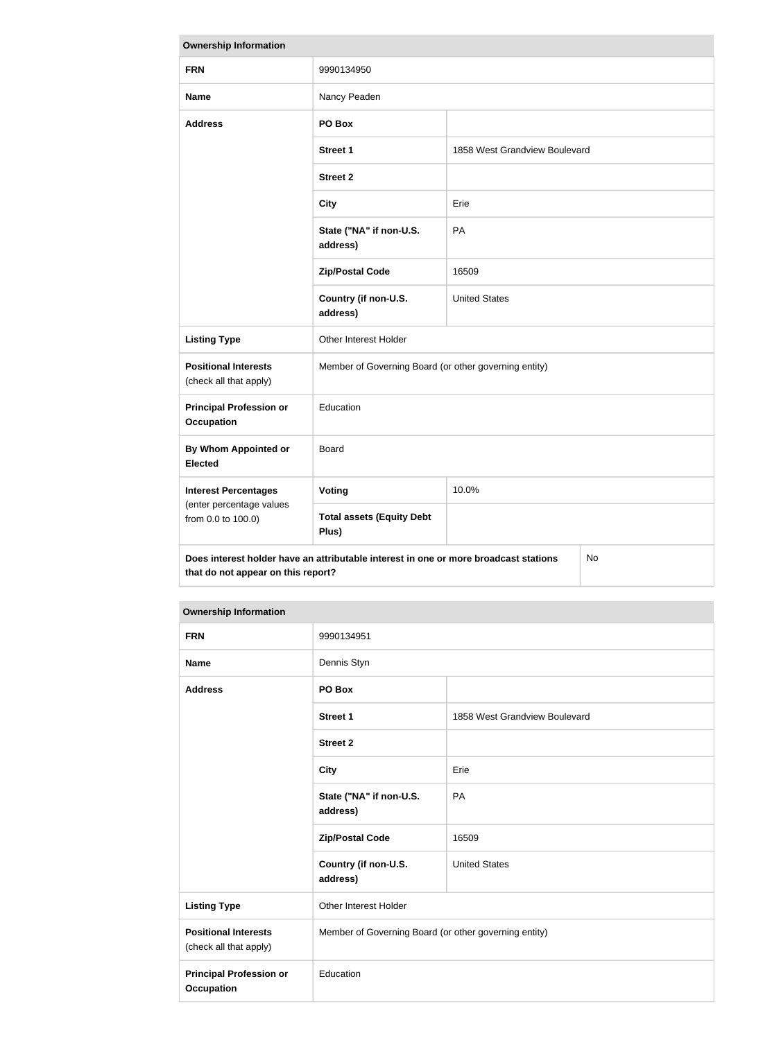| <b>Ownership Information</b>                                                                                                            |                                                       |                               |  |
|-----------------------------------------------------------------------------------------------------------------------------------------|-------------------------------------------------------|-------------------------------|--|
| <b>FRN</b>                                                                                                                              | 9990134950                                            |                               |  |
| <b>Name</b>                                                                                                                             | Nancy Peaden                                          |                               |  |
| <b>Address</b>                                                                                                                          | PO Box                                                |                               |  |
|                                                                                                                                         | <b>Street 1</b>                                       | 1858 West Grandview Boulevard |  |
|                                                                                                                                         | <b>Street 2</b>                                       |                               |  |
|                                                                                                                                         | <b>City</b>                                           | Erie                          |  |
|                                                                                                                                         | State ("NA" if non-U.S.<br>address)                   | PA                            |  |
|                                                                                                                                         | <b>Zip/Postal Code</b>                                | 16509                         |  |
|                                                                                                                                         | Country (if non-U.S.<br>address)                      | <b>United States</b>          |  |
| <b>Listing Type</b>                                                                                                                     | Other Interest Holder                                 |                               |  |
| <b>Positional Interests</b><br>(check all that apply)                                                                                   | Member of Governing Board (or other governing entity) |                               |  |
| <b>Principal Profession or</b><br><b>Occupation</b>                                                                                     | Education                                             |                               |  |
| <b>By Whom Appointed or</b><br><b>Elected</b>                                                                                           | <b>Board</b>                                          |                               |  |
| <b>Interest Percentages</b>                                                                                                             | Voting                                                | 10.0%                         |  |
| (enter percentage values<br>from 0.0 to 100.0)                                                                                          | <b>Total assets (Equity Debt</b><br>Plus)             |                               |  |
| Does interest holder have an attributable interest in one or more broadcast stations<br><b>No</b><br>that do not appear on this report? |                                                       |                               |  |

| <b>FRN</b>                                            | 9990134951                                            |                               |
|-------------------------------------------------------|-------------------------------------------------------|-------------------------------|
| <b>Name</b>                                           | Dennis Styn                                           |                               |
| <b>Address</b>                                        | PO Box                                                |                               |
|                                                       | <b>Street 1</b>                                       | 1858 West Grandview Boulevard |
|                                                       | <b>Street 2</b>                                       |                               |
|                                                       | <b>City</b>                                           | Erie                          |
|                                                       | State ("NA" if non-U.S.<br>address)                   | PA                            |
|                                                       | <b>Zip/Postal Code</b>                                | 16509                         |
|                                                       | Country (if non-U.S.<br>address)                      | <b>United States</b>          |
| <b>Listing Type</b>                                   | <b>Other Interest Holder</b>                          |                               |
| <b>Positional Interests</b><br>(check all that apply) | Member of Governing Board (or other governing entity) |                               |
| <b>Principal Profession or</b><br><b>Occupation</b>   | Education                                             |                               |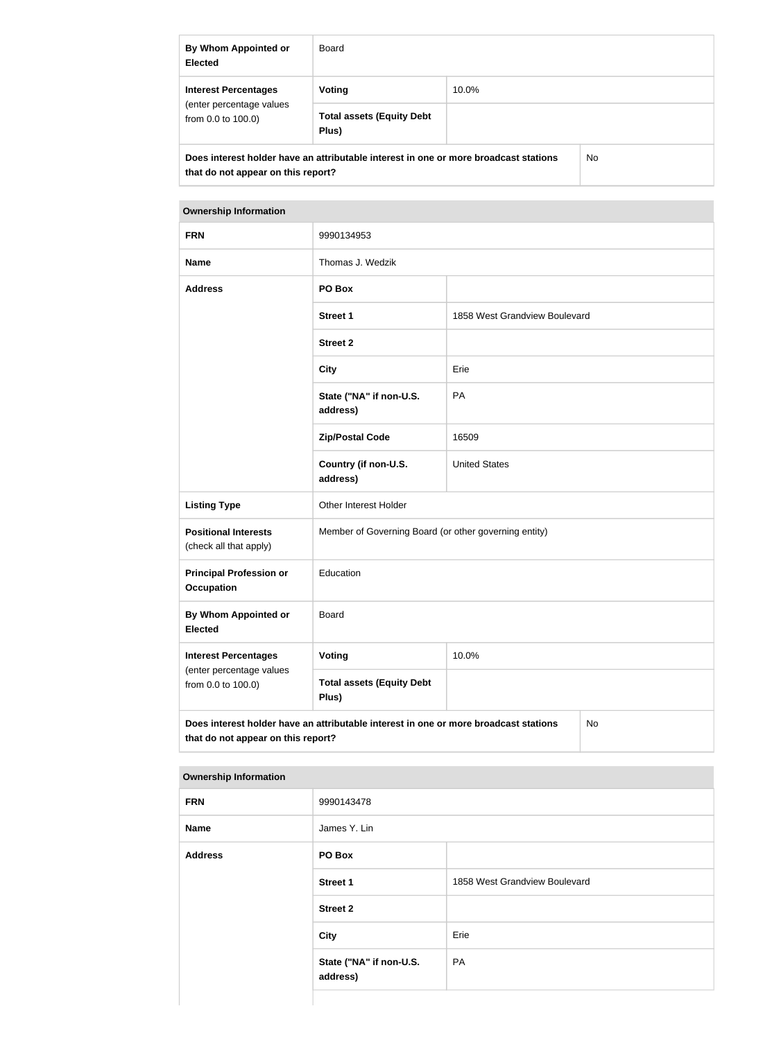| By Whom Appointed or<br><b>Elected</b>                                                                                     | Board                                     |       |  |
|----------------------------------------------------------------------------------------------------------------------------|-------------------------------------------|-------|--|
| <b>Interest Percentages</b><br>(enter percentage values<br>from $0.0$ to $100.0$ )                                         | Voting                                    | 10.0% |  |
|                                                                                                                            | <b>Total assets (Equity Debt</b><br>Plus) |       |  |
| Does interest holder have an attributable interest in one or more broadcast stations<br>that do not appear on this report? |                                           | No.   |  |

| <b>FRN</b>                                                                                                                       | 9990134953                                            |                               |  |
|----------------------------------------------------------------------------------------------------------------------------------|-------------------------------------------------------|-------------------------------|--|
| <b>Name</b>                                                                                                                      | Thomas J. Wedzik                                      |                               |  |
| <b>Address</b>                                                                                                                   | PO Box                                                |                               |  |
|                                                                                                                                  | <b>Street 1</b>                                       | 1858 West Grandview Boulevard |  |
|                                                                                                                                  | <b>Street 2</b>                                       |                               |  |
|                                                                                                                                  | <b>City</b>                                           | Erie                          |  |
|                                                                                                                                  | State ("NA" if non-U.S.<br>address)                   | PA                            |  |
|                                                                                                                                  | <b>Zip/Postal Code</b>                                | 16509                         |  |
|                                                                                                                                  | Country (if non-U.S.<br>address)                      | <b>United States</b>          |  |
| <b>Listing Type</b>                                                                                                              | Other Interest Holder                                 |                               |  |
| <b>Positional Interests</b><br>(check all that apply)                                                                            | Member of Governing Board (or other governing entity) |                               |  |
| <b>Principal Profession or</b><br><b>Occupation</b>                                                                              | Education                                             |                               |  |
| By Whom Appointed or<br><b>Elected</b>                                                                                           | <b>Board</b>                                          |                               |  |
| <b>Interest Percentages</b>                                                                                                      | Voting                                                | 10.0%                         |  |
| (enter percentage values<br>from 0.0 to 100.0)                                                                                   | <b>Total assets (Equity Debt</b><br>Plus)             |                               |  |
| Does interest holder have an attributable interest in one or more broadcast stations<br>No<br>that do not appear on this report? |                                                       |                               |  |

| <b>FRN</b>     | 9990143478                          |                               |
|----------------|-------------------------------------|-------------------------------|
| Name           | James Y. Lin                        |                               |
| <b>Address</b> | PO Box                              |                               |
|                | <b>Street 1</b>                     | 1858 West Grandview Boulevard |
|                | <b>Street 2</b>                     |                               |
|                | City                                | Erie                          |
|                | State ("NA" if non-U.S.<br>address) | PA                            |
|                |                                     |                               |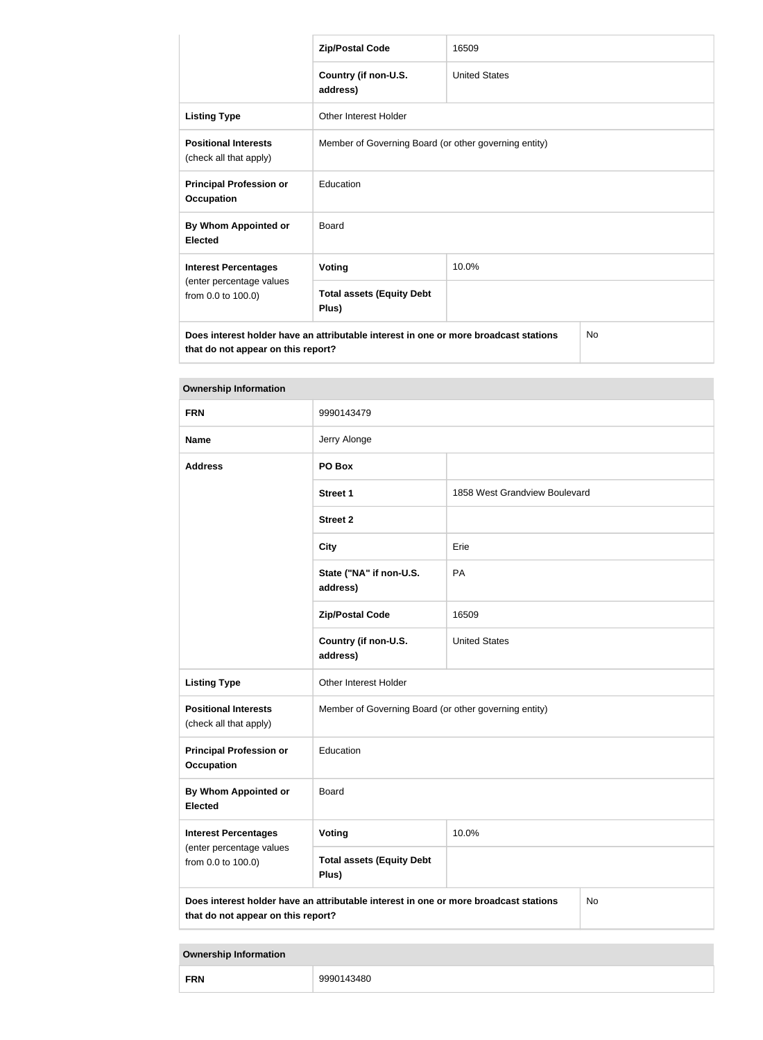|                                                                                                                                  | <b>Zip/Postal Code</b>                                | 16509                |  |
|----------------------------------------------------------------------------------------------------------------------------------|-------------------------------------------------------|----------------------|--|
|                                                                                                                                  | Country (if non-U.S.<br>address)                      | <b>United States</b> |  |
| <b>Listing Type</b>                                                                                                              | Other Interest Holder                                 |                      |  |
| <b>Positional Interests</b><br>(check all that apply)                                                                            | Member of Governing Board (or other governing entity) |                      |  |
| <b>Principal Profession or</b><br><b>Occupation</b>                                                                              | Education                                             |                      |  |
| By Whom Appointed or<br><b>Elected</b>                                                                                           | Board                                                 |                      |  |
| <b>Interest Percentages</b><br>(enter percentage values<br>from 0.0 to 100.0)                                                    | Voting                                                | 10.0%                |  |
|                                                                                                                                  | <b>Total assets (Equity Debt</b><br>Plus)             |                      |  |
| Does interest holder have an attributable interest in one or more broadcast stations<br>No<br>that do not appear on this report? |                                                       |                      |  |

| <b>Ownership Information</b>                                                                                                     |                                                       |                               |  |
|----------------------------------------------------------------------------------------------------------------------------------|-------------------------------------------------------|-------------------------------|--|
| <b>FRN</b>                                                                                                                       | 9990143479                                            |                               |  |
| <b>Name</b>                                                                                                                      | Jerry Alonge                                          |                               |  |
| <b>Address</b>                                                                                                                   | PO Box                                                |                               |  |
|                                                                                                                                  | <b>Street 1</b>                                       | 1858 West Grandview Boulevard |  |
|                                                                                                                                  | <b>Street 2</b>                                       |                               |  |
|                                                                                                                                  | <b>City</b>                                           | Erie                          |  |
|                                                                                                                                  | State ("NA" if non-U.S.<br>address)                   | PA                            |  |
|                                                                                                                                  | <b>Zip/Postal Code</b>                                | 16509                         |  |
|                                                                                                                                  | Country (if non-U.S.<br>address)                      | <b>United States</b>          |  |
| <b>Listing Type</b>                                                                                                              | Other Interest Holder                                 |                               |  |
| <b>Positional Interests</b><br>(check all that apply)                                                                            | Member of Governing Board (or other governing entity) |                               |  |
| <b>Principal Profession or</b><br><b>Occupation</b>                                                                              | Education                                             |                               |  |
| <b>By Whom Appointed or</b><br><b>Elected</b>                                                                                    | Board                                                 |                               |  |
| <b>Interest Percentages</b>                                                                                                      | Voting                                                | 10.0%                         |  |
| (enter percentage values<br>from 0.0 to 100.0)                                                                                   | <b>Total assets (Equity Debt</b><br>Plus)             |                               |  |
| Does interest holder have an attributable interest in one or more broadcast stations<br>No<br>that do not appear on this report? |                                                       |                               |  |

| <b>FRN</b> | 143480<br>aac |
|------------|---------------|
|------------|---------------|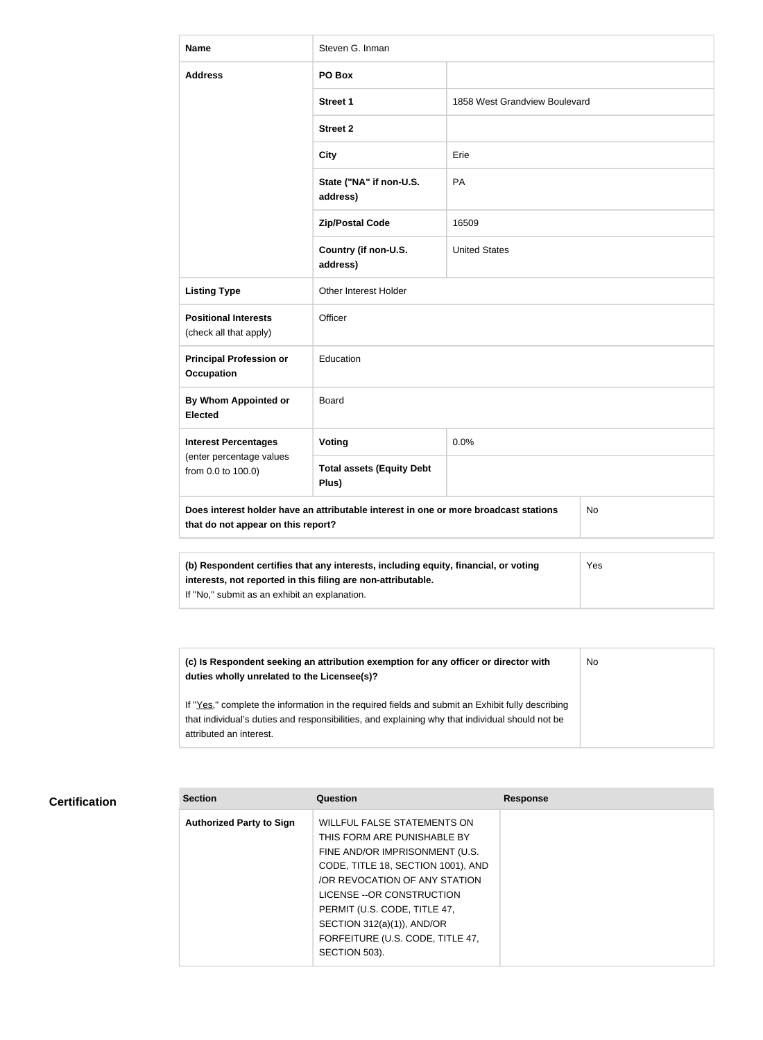| <b>Name</b>                                                                                                                                                | Steven G. Inman                           |                               |  |
|------------------------------------------------------------------------------------------------------------------------------------------------------------|-------------------------------------------|-------------------------------|--|
| <b>Address</b>                                                                                                                                             | PO Box                                    |                               |  |
|                                                                                                                                                            | <b>Street 1</b>                           | 1858 West Grandview Boulevard |  |
|                                                                                                                                                            | <b>Street 2</b>                           |                               |  |
|                                                                                                                                                            | <b>City</b>                               | Erie                          |  |
|                                                                                                                                                            | State ("NA" if non-U.S.<br>address)       | PA                            |  |
|                                                                                                                                                            | <b>Zip/Postal Code</b>                    | 16509                         |  |
|                                                                                                                                                            | Country (if non-U.S.<br>address)          | <b>United States</b>          |  |
| <b>Listing Type</b>                                                                                                                                        | Other Interest Holder                     |                               |  |
| <b>Positional Interests</b><br>(check all that apply)                                                                                                      | Officer                                   |                               |  |
| <b>Principal Profession or</b><br><b>Occupation</b>                                                                                                        | Education                                 |                               |  |
| <b>By Whom Appointed or</b><br><b>Elected</b>                                                                                                              | Board                                     |                               |  |
| <b>Interest Percentages</b>                                                                                                                                | Voting                                    | 0.0%                          |  |
| (enter percentage values<br>from 0.0 to 100.0)                                                                                                             | <b>Total assets (Equity Debt</b><br>Plus) |                               |  |
| Does interest holder have an attributable interest in one or more broadcast stations<br>No<br>that do not appear on this report?                           |                                           |                               |  |
|                                                                                                                                                            |                                           |                               |  |
| (b) Respondent certifies that any interests, including equity, financial, or voting<br>Yes<br>interests, not reported in this filing are non-attributable. |                                           |                               |  |

If "No," submit as an exhibit an explanation.

**(c) Is Respondent seeking an attribution exemption for any officer or director with duties wholly unrelated to the Licensee(s)?** If "Yes," complete the information in the required fields and submit an Exhibit fully describing that individual's duties and responsibilities, and explaining why that individual should not be attributed an interest. No

# **Certification**

| <b>Section</b>                  | Question                           | <b>Response</b> |
|---------------------------------|------------------------------------|-----------------|
| <b>Authorized Party to Sign</b> | WILLFUL FALSE STATEMENTS ON        |                 |
|                                 | THIS FORM ARE PUNISHABLE BY        |                 |
|                                 | FINE AND/OR IMPRISONMENT (U.S.     |                 |
|                                 | CODE, TITLE 18, SECTION 1001), AND |                 |
|                                 | OR REVOCATION OF ANY STATION       |                 |
|                                 | LICENSE -- OR CONSTRUCTION         |                 |
|                                 | PERMIT (U.S. CODE, TITLE 47,       |                 |
|                                 | SECTION 312(a)(1)), AND/OR         |                 |
|                                 | FORFEITURE (U.S. CODE, TITLE 47,   |                 |
|                                 | SECTION 503).                      |                 |
|                                 |                                    |                 |